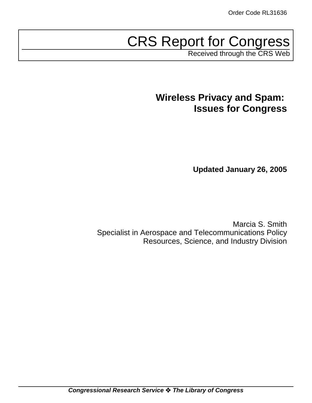# CRS Report for Congress

Received through the CRS Web

# **Wireless Privacy and Spam: Issues for Congress**

**Updated January 26, 2005**

Marcia S. Smith Specialist in Aerospace and Telecommunications Policy Resources, Science, and Industry Division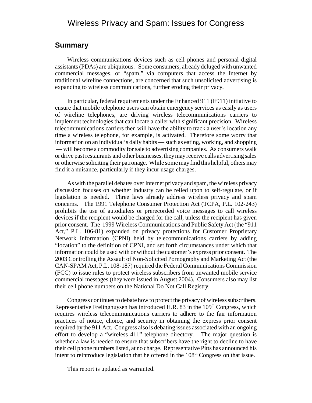## Wireless Privacy and Spam: Issues for Congress

#### **Summary**

Wireless communications devices such as cell phones and personal digital assistants (PDAs) are ubiquitous. Some consumers, already deluged with unwanted commercial messages, or "spam," via computers that access the Internet by traditional wireline connections, are concerned that such unsolicited advertising is expanding to wireless communications, further eroding their privacy.

In particular, federal requirements under the Enhanced 911 (E911) initiative to ensure that mobile telephone users can obtain emergency services as easily as users of wireline telephones, are driving wireless telecommunications carriers to implement technologies that can locate a caller with significant precision. Wireless telecommunications carriers then will have the ability to track a user's location any time a wireless telephone, for example, is activated. Therefore some worry that information on an individual's daily habits — such as eating, working, and shopping — will become a commodity for sale to advertising companies. As consumers walk or drive past restaurants and other businesses, they may receive calls advertising sales or otherwise soliciting their patronage. While some may find this helpful, others may find it a nuisance, particularly if they incur usage charges.

As with the parallel debates over Internet privacy and spam, the wireless privacy discussion focuses on whether industry can be relied upon to self-regulate, or if legislation is needed. Three laws already address wireless privacy and spam concerns. The 1991 Telephone Consumer Protection Act (TCPA, P.L. 102-243) prohibits the use of autodialers or prerecorded voice messages to call wireless devices if the recipient would be charged for the call, unless the recipient has given prior consent. The 1999 Wireless Communications and Public Safety Act (the "911 Act," P.L. 106-81) expanded on privacy protections for Customer Proprietary Network Information (CPNI) held by telecommunications carriers by adding "location" to the definition of CPNI, and set forth circumstances under which that information could be used with or without the customer's express prior consent. The 2003 Controlling the Assault of Non-Solicited Pornography and Marketing Act (the CAN-SPAM Act, P.L. 108-187) required the Federal Communications Commission (FCC) to issue rules to protect wireless subscribers from unwanted mobile service commercial messages (they were issued in August 2004). Consumers also may list their cell phone numbers on the National Do Not Call Registry.

Congress continues to debate how to protect the privacy of wireless subscribers. Representative Frelinghuysen has introduced H.R. 83 in the 109<sup>th</sup> Congress, which requires wireless telecommunications carriers to adhere to the fair information practices of notice, choice, and security in obtaining the express prior consent required by the 911 Act. Congress also is debating issues associated with an ongoing effort to develop a "wireless 411" telephone directory. The major question is whether a law is needed to ensure that subscribers have the right to decline to have their cell phone numbers listed, at no charge. Representative Pitts has announced his intent to reintroduce legislation that he offered in the 108<sup>th</sup> Congress on that issue.

This report is updated as warranted.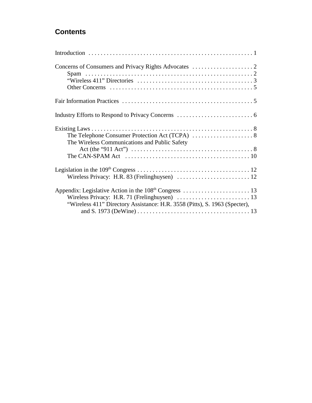## **Contents**

| The Wireless Communications and Public Safety                                                                    |  |
|------------------------------------------------------------------------------------------------------------------|--|
|                                                                                                                  |  |
| The CAN-SPAM Act $\ldots \ldots \ldots \ldots \ldots \ldots \ldots \ldots \ldots \ldots \ldots \ldots \ldots 10$ |  |
|                                                                                                                  |  |
|                                                                                                                  |  |
|                                                                                                                  |  |
| "Wireless 411" Directory Assistance: H.R. 3558 (Pitts), S. 1963 (Specter),                                       |  |
|                                                                                                                  |  |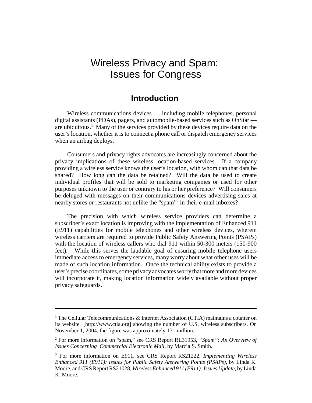# Wireless Privacy and Spam: Issues for Congress

## **Introduction**

Wireless communications devices — including mobile telephones, personal digital assistants (PDAs), pagers, and automobile-based services such as OnStar are ubiquitous.<sup>1</sup> Many of the services provided by these devices require data on the user's location, whether it is to connect a phone call or dispatch emergency services when an airbag deploys.

Consumers and privacy rights advocates are increasingly concerned about the privacy implications of these wireless location-based services. If a company providing a wireless service knows the user's location, with whom can that data be shared? How long can the data be retained? Will the data be used to create individual profiles that will be sold to marketing companies or used for other purposes unknown to the user or contrary to his or her preference? Will consumers be deluged with messages on their communications devices advertising sales at nearby stores or restaurants not unlike the "spam"2 in their e-mail inboxes?

The precision with which wireless service providers can determine a subscriber's exact location is improving with the implementation of Enhanced 911 (E911) capabilities for mobile telephones and other wireless devices, wherein wireless carriers are required to provide Public Safety Answering Points (PSAPs) with the location of wireless callers who dial 911 within 50-300 meters (150-900 feet).<sup>3</sup> While this serves the laudable goal of ensuring mobile telephone users immediate access to emergency services, many worry about what other uses will be made of such location information. Once the technical ability exists to provide a user's precise coordinates, some privacy advocates worry that more and more devices will incorporate it, making location information widely available without proper privacy safeguards.

<sup>&</sup>lt;sup>1</sup> The Cellular Telecommunications & Internet Association (CTIA) maintains a counter on its website [http://www.ctia.org] showing the number of U.S. wireless subscribers. On November 1, 2004, the figure was approximately 171 million.

<sup>2</sup> For more information on "spam," see CRS Report RL31953, *"Spam": An Overview of Issues Concerning Commercial Electronic Mail*, by Marcia S. Smith.

<sup>3</sup> For more information on E911, see CRS Report RS21222, *Implementing Wireless Enhanced 911 (E911): Issues for Public Safety Answering Points (PSAPs)*, by Linda K. Moore, and CRS Report RS21028, *Wireless Enhanced 911 (E911): Issues Update*, by Linda K. Moore.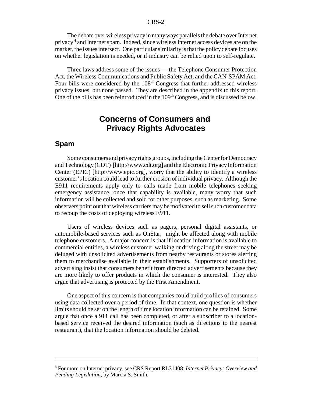The debate over wireless privacy in many ways parallels the debate over Internet privacy 4 and Internet spam. Indeed, since wireless Internet access devices are on the market, the issues intersect. One particular similarity is that the policy debate focuses on whether legislation is needed, or if industry can be relied upon to self-regulate.

Three laws address some of the issues — the Telephone Consumer Protection Act, the Wireless Communications and Public Safety Act, and the CAN-SPAM Act. Four bills were considered by the 108<sup>th</sup> Congress that further addressed wireless privacy issues, but none passed. They are described in the appendix to this report. One of the bills has been reintroduced in the  $109<sup>th</sup>$  Congress, and is discussed below.

## **Concerns of Consumers and Privacy Rights Advocates**

#### **Spam**

Some consumers and privacy rights groups, including the Center for Democracy and Technology (CDT) [http://www.cdt.org] and the Electronic Privacy Information Center (EPIC) [http://www.epic.org], worry that the ability to identify a wireless customer's location could lead to further erosion of individual privacy. Although the E911 requirements apply only to calls made from mobile telephones seeking emergency assistance, once that capability is available, many worry that such information will be collected and sold for other purposes, such as marketing. Some observers point out that wireless carriers may be motivated to sell such customer data to recoup the costs of deploying wireless E911.

Users of wireless devices such as pagers, personal digital assistants, or automobile-based services such as OnStar, might be affected along with mobile telephone customers. A major concern is that if location information is available to commercial entities, a wireless customer walking or driving along the street may be deluged with unsolicited advertisements from nearby restaurants or stores alerting them to merchandise available in their establishments. Supporters of unsolicited advertising insist that consumers benefit from directed advertisements because they are more likely to offer products in which the consumer is interested. They also argue that advertising is protected by the First Amendment.

One aspect of this concern is that companies could build profiles of consumers using data collected over a period of time. In that context, one question is whether limits should be set on the length of time location information can be retained. Some argue that once a 911 call has been completed, or after a subscriber to a locationbased service received the desired information (such as directions to the nearest restaurant), that the location information should be deleted.

<sup>4</sup> For more on Internet privacy, see CRS Report RL31408: *Internet Privacy: Overview and Pending Legislation*, by Marcia S. Smith.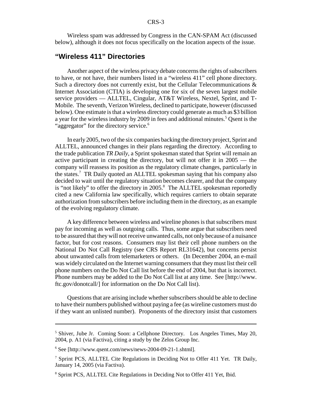Wireless spam was addressed by Congress in the CAN-SPAM Act (discussed below), although it does not focus specifically on the location aspects of the issue.

#### **"Wireless 411" Directories**

Another aspect of the wireless privacy debate concerns the rights of subscribers to have, or not have, their numbers listed in a "wireless 411" cell phone directory. Such a directory does not currently exist, but the Cellular Telecommunications  $\&$ Internet Association (CTIA) is developing one for six of the seven largest mobile service providers — ALLTEL, Cingular, AT&T Wireless, Nextel, Sprint, and T-Mobile. The seventh, Verizon Wireless, declined to participate, however (discussed below). One estimate is that a wireless directory could generate as much as \$3 billion a year for the wireless industry by 2009 in fees and additional minutes.<sup>5</sup> Qsent is the "aggregator" for the directory service.<sup>6</sup>

In early 2005, two of the six companies backing the directory project, Sprint and ALLTEL, announced changes in their plans regarding the directory. According to the trade publication *TR Daily*, a Sprint spokesman stated that Sprint will remain an active participant in creating the directory, but will not offer it in 2005 — the company will reassess its position as the regulatory climate changes, particularly in the states.7 TR Daily quoted an ALLTEL spokesman saying that his company also decided to wait until the regulatory situation becomes clearer, and that the company is "not likely" to offer the directory in 2005.<sup>8</sup> The ALLTEL spokesman reportedly cited a new California law specifically, which requires carriers to obtain separate authorization from subscribers before including them in the directory, as an example of the evolving regulatory climate.

A key difference between wireless and wireline phones is that subscribers must pay for incoming as well as outgoing calls. Thus, some argue that subscribers need to be assured that they will not receive unwanted calls, not only because of a nuisance factor, but for cost reasons. Consumers may list their cell phone numbers on the National Do Not Call Registry (see CRS Report RL31642), but concerns persist about unwanted calls from telemarketers or others. (In December 2004, an e-mail was widely circulated on the Internet warning consumers that they must list their cell phone numbers on the Do Not Call list before the end of 2004, but that is incorrect. Phone numbers may be added to the Do Not Call list at any time. See [http://www. ftc.gov/donotcall/] for information on the Do Not Call list).

Questions that are arising include whether subscribers should be able to decline to have their numbers published without paying a fee (as wireline customers must do if they want an unlisted number). Proponents of the directory insist that customers

<sup>&</sup>lt;sup>5</sup> Shiver, Jube Jr. Coming Soon: a Cellphone Directory. Los Angeles Times, May 20, 2004, p. A1 (via Factiva), citing a study by the Zelos Group Inc.

<sup>6</sup> See [http://www.qsent.com/news/news-2004-09-21-1.shtml].

<sup>&</sup>lt;sup>7</sup> Sprint PCS, ALLTEL Cite Regulations in Deciding Not to Offer 411 Yet. TR Daily, January 14, 2005 (via Factiva).

<sup>&</sup>lt;sup>8</sup> Sprint PCS, ALLTEL Cite Regulations in Deciding Not to Offer 411 Yet, Ibid.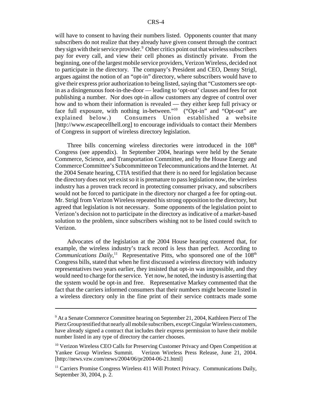will have to consent to having their numbers listed. Opponents counter that many subscribers do not realize that they already have given consent through the contract they sign with their service provider.<sup>9</sup> Other critics point out that wireless subscribers pay for every call, and view their cell phones as distinctly private. From the beginning, one of the largest mobile service providers, Verizon Wireless, decided not to participate in the directory. The company's President and CEO, Denny Strigl, argues against the notion of an "opt-in" directory, where subscribers would have to give their express prior authorization to being listed, saying that "Customers see optin as a disingenuous foot-in-the-door — leading to 'opt-out' clauses and fees for not publishing a number. Nor does opt-in allow customers any degree of control over how and to whom their information is revealed — they either keep full privacy or face full exposure, with nothing in-between."<sup>10</sup> ("Opt-in" and "Opt-out" are explained below.) Consumers Union established a website [http://www.escapecellhell.org] to encourage individuals to contact their Members of Congress in support of wireless directory legislation.

Three bills concerning wireless directories were introduced in the 108<sup>th</sup> Congress (see appendix). In September 2004, hearings were held by the Senate Commerce, Science, and Transportation Committee, and by the House Energy and Commerce Committee's Subcommittee on Telecommunications and the Internet. At the 2004 Senate hearing, CTIA testified that there is no need for legislation because the directory does not yet exist so it is premature to pass legislation now, the wireless industry has a proven track record in protecting consumer privacy, and subscribers would not be forced to participate in the directory nor charged a fee for opting-out. Mr. Strigl from Verizon Wireless repeated his strong opposition to the directory, but agreed that legislation is not necessary. Some opponents of the legislation point to Verizon's decision not to participate in the directory as indicative of a market-based solution to the problem, since subscribers wishing not to be listed could switch to Verizon.

Advocates of the legislation at the 2004 House hearing countered that, for example, the wireless industry's track record is less than perfect. According to Communications Daily,<sup>11</sup> Representative Pitts, who sponsored one of the 108<sup>th</sup> Congress bills, stated that when he first discussed a wireless directory with industry representatives two years earlier, they insisted that opt-in was impossible, and they would need to charge for the service. Yet now, he noted, the industry is asserting that the system would be opt-in and free. Representative Markey commented that the fact that the carriers informed consumers that their numbers might become listed in a wireless directory only in the fine print of their service contracts made some

<sup>&</sup>lt;sup>9</sup> At a Senate Commerce Committee hearing on September 21, 2004, Kathleen Pierz of The Pierz Group testified that nearly all mobile subscribers, except Cingular Wireless customers, have already signed a contract that includes their express permission to have their mobile number listed in any type of directory the carrier chooses.

 $10$  Verizon Wireless CEO Calls for Preserving Customer Privacy and Open Competition at Yankee Group Wireless Summit. Verizon Wireless Press Release, June 21, 2004. [http://news.vzw.com/news/2004/06/pr2004-06-21.html]

<sup>&</sup>lt;sup>11</sup> Carriers Promise Congress Wireless 411 Will Protect Privacy. Communications Daily, September 30, 2004, p. 2.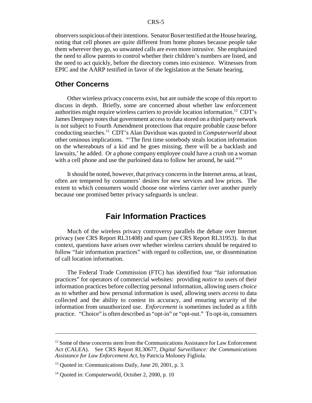observers suspicious of their intentions. Senator Boxer testified at the House hearing, noting that cell phones are quite different from home phones because people take them wherever they go, so unwanted calls are even more intrusive. She emphasized the need to allow parents to control whether their children's numbers are listed, and the need to act quickly, before the directory comes into existence. Witnesses from EPIC and the AARP testified in favor of the legislation at the Senate hearing.

#### **Other Concerns**

Other wireless privacy concerns exist, but are outside the scope of this report to discuss in depth. Briefly, some are concerned about whether law enforcement authorities might require wireless carriers to provide location information.12 CDT's James Dempsey notes that government access to data stored on a third party network is not subject to Fourth Amendment protections that require probable cause before conducting searches.13 CDT's Alan Davidson was quoted in *Computerworld* about other ominous implications. "'The first time somebody steals location information on the whereabouts of a kid and he goes missing, there will be a backlash and lawsuits,' he added. Or a phone company employee could have a crush on a woman with a cell phone and use the purloined data to follow her around, he said."<sup>14</sup>

It should be noted, however, that privacy concerns in the Internet arena, at least, often are tempered by consumers' desires for new services and low prices. The extent to which consumers would choose one wireless carrier over another purely because one promised better privacy safeguards is unclear.

## **Fair Information Practices**

Much of the wireless privacy controversy parallels the debate over Internet privacy (see CRS Report RL31408) and spam (see CRS Report RL31953). In that context, questions have arisen over whether wireless carriers should be required to follow "fair information practices" with regard to collection, use, or dissemination of call location information.

The Federal Trade Commission (FTC) has identified four "fair information practices" for operators of commercial websites: providing *notice* to users of their information practices before collecting personal information, allowing users *choice* as to whether and how personal information is used, allowing users *access* to data collected and the ability to contest its accuracy, and ensuring *security* of the information from unauthorized use. *Enforcement* is sometimes included as a fifth practice. "Choice" is often described as "opt-in" or "opt-out." To opt-in, consumers

 $12$  Some of these concerns stem from the Communications Assistance for Law Enforcement Act (CALEA). See CRS Report RL30677, *Digital Surveillance: the Communications Assistance for Law Enforcement Act*, by Patricia Moloney Figliola.

<sup>&</sup>lt;sup>13</sup> Quoted in: Communications Daily, June 20, 2001, p. 3.

<sup>&</sup>lt;sup>14</sup> Quoted in: Computerworld, October 2, 2000, p. 10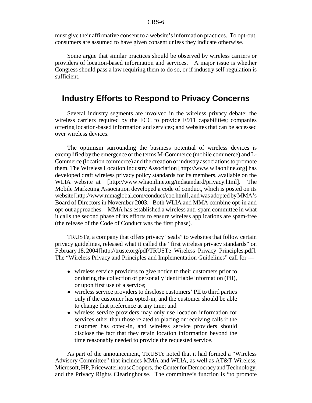must give their affirmative consent to a website's information practices. To opt-out, consumers are assumed to have given consent unless they indicate otherwise.

Some argue that similar practices should be observed by wireless carriers or providers of location-based information and services. A major issue is whether Congress should pass a law requiring them to do so, or if industry self-regulation is sufficient.

## **Industry Efforts to Respond to Privacy Concerns**

Several industry segments are involved in the wireless privacy debate: the wireless carriers required by the FCC to provide E911 capabilities; companies offering location-based information and services; and websites that can be accessed over wireless devices.

The optimism surrounding the business potential of wireless devices is exemplified by the emergence of the terms M-Commerce (mobile commerce) and L-Commerce (location commerce) and the creation of industry associations to promote them. The Wireless Location Industry Association [http://www.wliaonline.org] has developed draft wireless privacy policy standards for its members, available on the WLIA website at [http://www.wliaonline.org/indstandard/privacy.html]. The Mobile Marketing Association developed a code of conduct, which is posted on its website [http://www.mmaglobal.com/conduct/coc.html], and was adopted by MMA's Board of Directors in November 2003. Both WLIA and MMA combine opt-in and opt-out approaches. MMA has established a wireless anti-spam committee in what it calls the second phase of its efforts to ensure wireless applications are spam-free (the release of the Code of Conduct was the first phase).

TRUSTe, a company that offers privacy "seals" to websites that follow certain privacy guidelines, released what it called the "first wireless privacy standards" on February 18, 2004 [http://truste.org/pdf/TRUSTe\_Wireless\_Privacy\_Principles.pdf]. The "Wireless Privacy and Principles and Implementation Guidelines" call for —

- wireless service providers to give notice to their customers prior to or during the collection of personally identifiable information (PII), or upon first use of a service;
- wireless service providers to disclose customers' PII to third parties only if the customer has opted-in, and the customer should be able to change that preference at any time; and
- wireless service providers may only use location information for services other than those related to placing or receiving calls if the customer has opted-in, and wireless service providers should disclose the fact that they retain location information beyond the time reasonably needed to provide the requested service.

As part of the announcement, TRUSTe noted that it had formed a "Wireless Advisory Committee" that includes MMA and WLIA, as well as AT&T Wireless, Microsoft, HP, PricewaterhouseCoopers, the Center for Democracy and Technology, and the Privacy Rights Clearinghouse. The committee's function is "to promote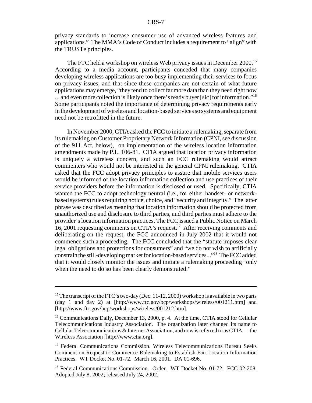privacy standards to increase consumer use of advanced wireless features and applications." The MMA's Code of Conduct includes a requirement to "align" with the TRUSTe principles.

The FTC held a workshop on wireless Web privacy issues in December 2000.<sup>15</sup> According to a media account, participants conceded that many companies developing wireless applications are too busy implementing their services to focus on privacy issues, and that since these companies are not certain of what future applications may emerge, "they tend to collect far more data than they need right now ... and even more collection is likely once there's ready buyer [sic] for information."<sup>16</sup> Some participants noted the importance of determining privacy requirements early in the development of wireless and location-based services so systems and equipment need not be retrofitted in the future.

In November 2000, CTIA asked the FCC to initiate a rulemaking, separate from its rulemaking on Customer Proprietary Network Information (CPNI, see discussion of the 911 Act, below), on implementation of the wireless location information amendments made by P.L. 106-81. CTIA argued that location privacy information is uniquely a wireless concern, and such an FCC rulemaking would attract commenters who would not be interested in the general CPNI rulemaking. CTIA asked that the FCC adopt privacy principles to assure that mobile services users would be informed of the location information collection and use practices of their service providers before the information is disclosed or used. Specifically, CTIA wanted the FCC to adopt technology neutral (i.e., for either handset- or networkbased systems) rules requiring notice, choice, and "security and integrity." The latter phrase was described as meaning that location information should be protected from unauthorized use and disclosure to third parties, and third parties must adhere to the provider's location information practices. The FCC issued a Public Notice on March 16, 2001 requesting comments on CTIA's request.17 After receiving comments and deliberating on the request, the FCC announced in July 2002 that it would not commence such a proceeding. The FCC concluded that the "statute imposes clear legal obligations and protections for consumers" and "we do not wish to artificially constrain the still-developing market for location-based services..."18 The FCC added that it would closely monitor the issues and initiate a rulemaking proceeding "only when the need to do so has been clearly demonstrated."

<sup>&</sup>lt;sup>15</sup> The transcript of the FTC's two-day (Dec. 11-12, 2000) workshop is available in two parts (day 1 and day 2) at [http://www.ftc.gov/bcp/workshops/wireless/001211.htm] and [http://www.ftc.gov/bcp/workshops/wireless/001212.htm].

<sup>&</sup>lt;sup>16</sup> Communications Daily, December 13, 2000, p. 4. At the time, CTIA stood for Cellular Telecommunications Industry Association. The organization later changed its name to Cellular Telecommunications  $\&$  Internet Association, and now is referred to as CTIA — the Wireless Association [http://www.ctia.org].

<sup>&</sup>lt;sup>17</sup> Federal Communications Commission. Wireless Telecommunications Bureau Seeks Comment on Request to Commence Rulemaking to Establish Fair Location Information Practices. WT Docket No. 01-72. March 16, 2001. DA 01-696.

<sup>&</sup>lt;sup>18</sup> Federal Communications Commission. Order. WT Docket No. 01-72. FCC 02-208. Adopted July 8, 2002; released July 24, 2002.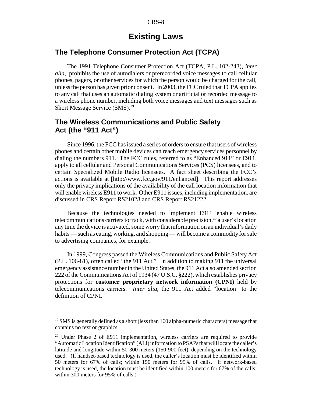## **Existing Laws**

#### **The Telephone Consumer Protection Act (TCPA)**

The 1991 Telephone Consumer Protection Act (TCPA, P.L. 102-243), *inter alia*, prohibits the use of autodialers or prerecorded voice messages to call cellular phones, pagers, or other services for which the person would be charged for the call, unless the person has given prior consent. In 2003, the FCC ruled that TCPA applies to any call that uses an automatic dialing system or artificial or recorded message to a wireless phone number, including both voice messages and text messages such as Short Message Service (SMS).<sup>19</sup>

#### **The Wireless Communications and Public Safety Act (the "911 Act")**

Since 1996, the FCC has issued a series of orders to ensure that users of wireless phones and certain other mobile devices can reach emergency services personnel by dialing the numbers 911. The FCC rules, referred to as "Enhanced 911" or E911, apply to all cellular and Personal Communications Services (PCS) licensees, and to certain Specialized Mobile Radio licensees. A fact sheet describing the FCC's actions is available at [http://www.fcc.gov/911/enhanced]. This report addresses only the privacy implications of the availability of the call location information that will enable wireless E911 to work. Other E911 issues, including implementation, are discussed in CRS Report RS21028 and CRS Report RS21222.

Because the technologies needed to implement E911 enable wireless telecommunications carriers to track, with considerable precision,<sup>20</sup> a user's location any time the device is activated, some worry that information on an individual's daily habits — such as eating, working, and shopping — will become a commodity for sale to advertising companies, for example.

In 1999, Congress passed the Wireless Communications and Public Safety Act (P.L. 106-81), often called "the 911 Act." In addition to making 911 the universal emergency assistance number in the United States, the 911 Act also amended section 222 of the Communications Act of 1934 (47 U.S.C. §222), which establishes privacy protections for **customer proprietary network information (CPNI)** held by telecommunications carriers. *Inter alia*, the 911 Act added "location" to the definition of CPNI.

 $19$  SMS is generally defined as a short (less than 160 alpha-numeric characters) message that contains no text or graphics.

<sup>&</sup>lt;sup>20</sup> Under Phase 2 of E911 implementation, wireless carriers are required to provide "Automatic Location Identification" (ALI) information to PSAPs that will locate the caller's latitude and longitude within 50-300 meters (150-900 feet), depending on the technology used. (If handset-based technology is used, the caller's location must be identified within 50 meters for 67% of calls; within 150 meters for 95% of calls. If network-based technology is used, the location must be identified within 100 meters for 67% of the calls; within 300 meters for 95% of calls.)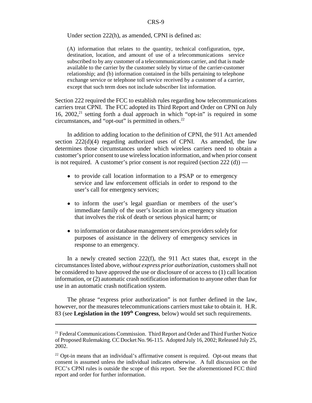Under section 222(h), as amended, CPNI is defined as:

(A) information that relates to the quantity, technical configuration, type, destination, location, and amount of use of a telecommunications service subscribed to by any customer of a telecommunications carrier, and that is made available to the carrier by the customer solely by virtue of the carrier-customer relationship; and (b) information contained in the bills pertaining to telephone exchange service or telephone toll service received by a customer of a carrier, except that such term does not include subscriber list information.

Section 222 required the FCC to establish rules regarding how telecommunications carriers treat CPNI. The FCC adopted its Third Report and Order on CPNI on July 16,  $2002<sup>21</sup>$  setting forth a dual approach in which "opt-in" is required in some circumstances, and "opt-out" is permitted in others. $^{22}$ 

In addition to adding location to the definition of CPNI, the 911 Act amended section 222(d)(4) regarding authorized uses of CPNI. As amended, the law determines those circumstances under which wireless carriers need to obtain a customer's prior consent to use wireless location information, and when prior consent is not required. A customer's prior consent is *not* required (section 222 (d)) —

- to provide call location information to a PSAP or to emergency service and law enforcement officials in order to respond to the user's call for emergency services;
- to inform the user's legal guardian or members of the user's immediate family of the user's location in an emergency situation that involves the risk of death or serious physical harm; or
- to information or database management services providers solely for purposes of assistance in the delivery of emergency services in response to an emergency.

In a newly created section 222(f), the 911 Act states that, except in the circumstances listed above, *without express prior authorization*, customers shall not be considered to have approved the use or disclosure of or access to (1) call location information, or (2) automatic crash notification information to anyone other than for use in an automatic crash notification system.

The phrase "express prior authorization" is not further defined in the law, however, nor the measures telecommunications carriers must take to obtain it. H.R. 83 (see **Legislation in the 109th Congress**, below) would set such requirements.

<sup>&</sup>lt;sup>21</sup> Federal Communications Commission. Third Report and Order and Third Further Notice of Proposed Rulemaking. CC Docket No. 96-115. Adopted July 16, 2002; Released July 25, 2002.

 $22$  Opt-in means that an individual's affirmative consent is required. Opt-out means that consent is assumed unless the individual indicates otherwise. A full discussion on the FCC's CPNI rules is outside the scope of this report. See the aforementioned FCC third report and order for further information.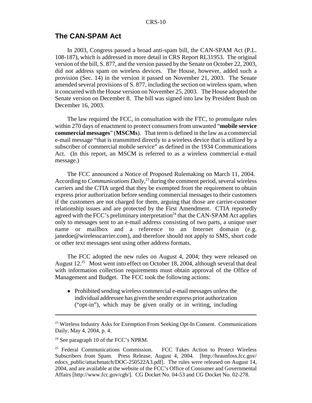#### **The CAN-SPAM Act**

In 2003, Congress passed a broad anti-spam bill, the CAN-SPAM Act (P.L. 108-187), which is addressed in more detail in CRS Report RL31953. The original version of the bill, S. 877, and the version passed by the Senate on October 22, 2003, did not address spam on wireless devices. The House, however, added such a provision (Sec. 14) in the version it passed on November 21, 2003. The Senate amended several provisions of S. 877, including the section on wireless spam, when it concurred with the House version on November 25, 2003. The House adopted the Senate version on December 8. The bill was signed into law by President Bush on December 16, 2003.

The law required the FCC, in consultation with the FTC, to promulgate rules within 270 days of enactment to protect consumers from unwanted "**mobile service commercial messages**" (**MSCMs**). That term is defined in the law as a commercial e-mail message "that is transmitted directly to a wireless device that is utilized by a subscriber of commercial mobile service" as defined in the 1934 Communications Act. (In this report, an MSCM is referred to as a wireless commercial e-mail message.)

The FCC announced a Notice of Proposed Rulemaking on March 11, 2004. According to *Communications Daily*, 23 during the comment period, several wireless carriers and the CTIA urged that they be exempted from the requirement to obtain express prior authorization before sending commercial messages to their customers if the customers are not charged for them, arguing that those are carrier-customer relationship issues and are protected by the First Amendment. CTIA reportedly agreed with the FCC's preliminary interpretation<sup>24</sup> that the CAN-SPAM Act applies only to messages sent to an e-mail address consisting of two parts, a unique user name or mailbox and a reference to an Internet domain (e.g. janedoe@wirelesscarrier.com), and therefore should not apply to SMS, short code or other text messages sent using other address formats.

The FCC adopted the new rules on August 4, 2004; they were released on August 12.<sup>25</sup> Most went into effect on October 18, 2004, although several that deal with information collection requirements must obtain approval of the Office of Management and Budget. The FCC took the following actions:

• Prohibited sending wireless commercial e-mail messages unless the individual addressee has given the sender express prior authorization ("opt-in"), which may be given orally or in writing, including

<sup>&</sup>lt;sup>23</sup> Wireless Industry Asks for Exemption From Seeking Opt-In Consent. Communications Daily, May 4, 2004, p. 4.

<sup>&</sup>lt;sup>24</sup> See paragraph 10 of the FCC's NPRM.

<sup>&</sup>lt;sup>25</sup> Federal Communications Commission. FCC Takes Action to Protect Wireless Subscribers from Spam. Press Release, August 4, 2004. [http://hraunfoss.fcc.gov/ edocs\_public/attachmatch/DOC-250522A3.pdf]. The rules were released on August 14, 2004, and are available at the website of the FCC's Office of Consumer and Governmental Affairs [http://www.fcc.gov/cgb/]. CG Docket No. 04-53 and CG Docket No. 02-278.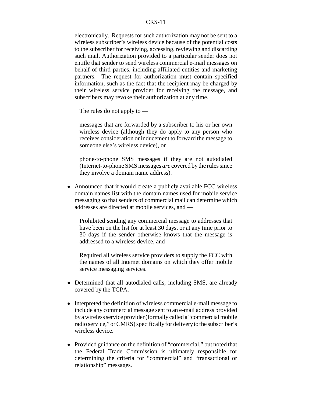#### CRS-11

electronically. Requests for such authorization may not be sent to a wireless subscriber's wireless device because of the potential costs to the subscriber for receiving, accessing, reviewing and discarding such mail. Authorization provided to a particular sender does not entitle that sender to send wireless commercial e-mail messages on behalf of third parties, including affiliated entities and marketing partners. The request for authorization must contain specified information, such as the fact that the recipient may be charged by their wireless service provider for receiving the message, and subscribers may revoke their authorization at any time.

The rules do not apply to —

messages that are forwarded by a subscriber to his or her own wireless device (although they do apply to any person who receives consideration or inducement to forward the message to someone else's wireless device), or

phone-to-phone SMS messages if they are not autodialed (Internet-to-phone SMS messages *are* covered by the rules since they involve a domain name address).

• Announced that it would create a publicly available FCC wireless domain names list with the domain names used for mobile service messaging so that senders of commercial mail can determine which addresses are directed at mobile services, and —

Prohibited sending any commercial message to addresses that have been on the list for at least 30 days, or at any time prior to 30 days if the sender otherwise knows that the message is addressed to a wireless device, and

Required all wireless service providers to supply the FCC with the names of all Internet domains on which they offer mobile service messaging services.

- Determined that all autodialed calls, including SMS, are already covered by the TCPA.
- Interpreted the definition of wireless commercial e-mail message to include any commercial message sent to an e-mail address provided by a wireless service provider (formally called a "commercial mobile radio service," or CMRS) specifically for delivery to the subscriber's wireless device.
- Provided guidance on the definition of "commercial," but noted that the Federal Trade Commission is ultimately responsible for determining the criteria for "commercial" and "transactional or relationship" messages.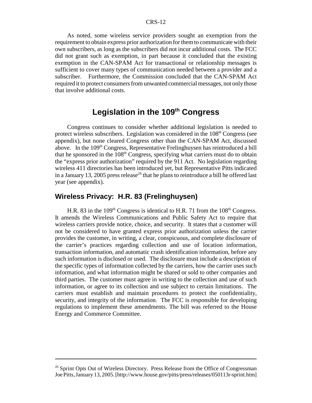#### CRS-12

As noted, some wireless service providers sought an exemption from the requirement to obtain express prior authorization for them to communicate with their own subscribers, as long as the subscribers did not incur additional costs. The FCC did not grant such as exemption, in part because it concluded that the existing exemption in the CAN-SPAM Act for transactional or relationship messages is sufficient to cover many types of communication needed between a provider and a subscriber. Furthermore, the Commission concluded that the CAN-SPAM Act required it to protect consumers from unwanted commercial messages, not only those that involve additional costs.

## Legislation in the 109<sup>th</sup> Congress

Congress continues to consider whether additional legislation is needed to protect wireless subscribers. Legislation was considered in the 108<sup>th</sup> Congress (see appendix), but none cleared Congress other than the CAN-SPAM Act, discussed above. In the 109<sup>th</sup> Congress, Representative Frelinghuysen has reintroduced a bill that he sponsored in the  $108<sup>th</sup>$  Congress, specifying what carriers must do to obtain the "express prior authorization" required by the 911 Act. No legislation regarding wireless 411 directories has been introduced yet, but Representative Pitts indicated in a January 13, 2005 press release<sup>26</sup> that he plans to reintroduce a bill he offered last year (see appendix).

#### **Wireless Privacy: H.R. 83 (Frelinghuysen)**

H.R. 83 in the  $109<sup>th</sup>$  Congress is identical to H.R. 71 from the  $108<sup>th</sup>$  Congress. It amends the Wireless Communications and Public Safety Act to require that wireless carriers provide notice, choice, and security. It states that a customer will not be considered to have granted express prior authorization unless the carrier provides the customer, in writing, a clear, conspicuous, and complete disclosure of the carrier's practices regarding collection and use of location information, transaction information, and automatic crash identification information, before any such information is disclosed or used. The disclosure must include a description of the specific types of information collected by the carriers, how the carrier uses such information, and what information might be shared or sold to other companies and third parties. The customer must agree in writing to the collection and use of such information, or agree to its collection and use subject to certain limitations. The carriers must establish and maintain procedures to protect the confidentiality, security, and integrity of the information. The FCC is responsible for developing regulations to implement these amendments. The bill was referred to the House Energy and Commerce Committee.

<sup>&</sup>lt;sup>26</sup> Sprint Opts Out of Wireless Directory. Press Release from the Office of Congressman Joe Pitts, January 13, 2005. [http://www.house.gov/pitts/press/releases/050113r-sprint.htm]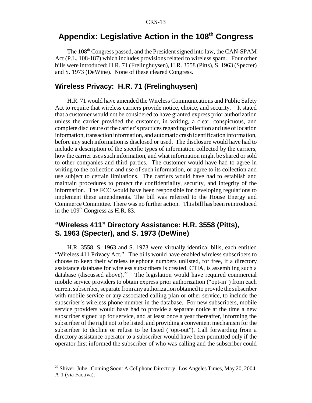# Appendix: Legislative Action in the 108<sup>th</sup> Congress

The 108<sup>th</sup> Congress passed, and the President signed into law, the CAN-SPAM Act (P.L. 108-187) which includes provisions related to wireless spam. Four other bills were introduced: H.R. 71 (Frelinghuysen), H.R. 3558 (Pitts), S. 1963 (Specter) and S. 1973 (DeWine). None of these cleared Congress.

#### **Wireless Privacy: H.R. 71 (Frelinghuysen)**

H.R. 71 would have amended the Wireless Communications and Public Safety Act to require that wireless carriers provide notice, choice, and security. It stated that a customer would not be considered to have granted express prior authorization unless the carrier provided the customer, in writing, a clear, conspicuous, and complete disclosure of the carrier's practices regarding collection and use of location information, transaction information, and automatic crash identification information, before any such information is disclosed or used. The disclosure would have had to include a description of the specific types of information collected by the carriers, how the carrier uses such information, and what information might be shared or sold to other companies and third parties. The customer would have had to agree in writing to the collection and use of such information, or agree to its collection and use subject to certain limitations. The carriers would have had to establish and maintain procedures to protect the confidentiality, security, and integrity of the information. The FCC would have been responsible for developing regulations to implement these amendments. The bill was referred to the House Energy and Commerce Committee. There was no further action. This bill has been reintroduced in the  $109<sup>th</sup>$  Congress as H.R. 83.

## **"Wireless 411" Directory Assistance: H.R. 3558 (Pitts), S. 1963 (Specter), and S. 1973 (DeWine)**

H.R. 3558, S. 1963 and S. 1973 were virtually identical bills, each entitled "Wireless 411 Privacy Act." The bills would have enabled wireless subscribers to choose to keep their wireless telephone numbers unlisted, for free, if a directory assistance database for wireless subscribers is created. CTIA, is assembling such a database (discussed above).<sup>27</sup> The legislation would have required commercial mobile service providers to obtain express prior authorization ("opt-in") from each current subscriber, separate from any authorization obtained to provide the subscriber with mobile service or any associated calling plan or other service, to include the subscriber's wireless phone number in the database. For new subscribers, mobile service providers would have had to provide a separate notice at the time a new subscriber signed up for service, and at least once a year thereafter, informing the subscriber of the right not to be listed, and providing a convenient mechanism for the subscriber to decline or refuse to be listed ("opt-out"). Call forwarding from a directory assistance operator to a subscriber would have been permitted only if the operator first informed the subscriber of who was calling and the subscriber could

 $27$  Shiver, Jube. Coming Soon: A Cellphone Directory. Los Angeles Times, May 20, 2004, A-1 (via Factiva).